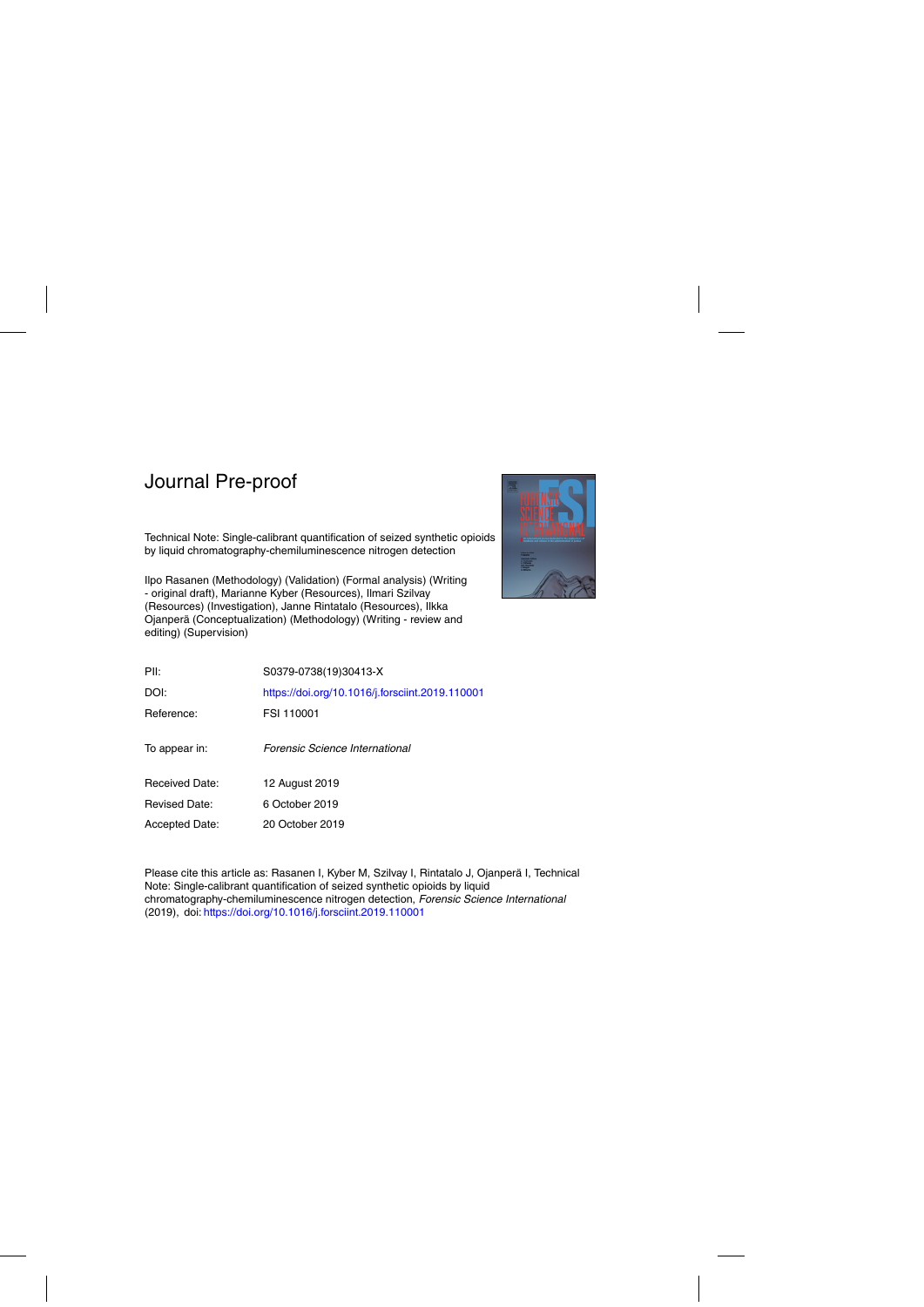Technical Note: Single-calibrant quantification of seized synthetic opioids by liquid chromatography-chemiluminescence nitrogen detection

Ilpo Rasanen (Methodology) (Validation) (Formal analysis) (Writing - original draft), Marianne Kyber (Resources), Ilmari Szilvay (Resources) (Investigation), Janne Rintatalo (Resources), Ilkka Ojanpera (Conceptualization) (Methodology) (Writing - review and ¨ editing) (Supervision)



| PII:                 | S0379-0738(19)30413-X                           |
|----------------------|-------------------------------------------------|
| DOI:                 | https://doi.org/10.1016/j.forsciint.2019.110001 |
| Reference:           | FSI 110001                                      |
| To appear in:        | Forensic Science International                  |
| Received Date:       | 12 August 2019                                  |
| <b>Revised Date:</b> | 6 October 2019                                  |
| Accepted Date:       | 20 October 2019                                 |

Please cite this article as: Rasanen I, Kyber M, Szilvay I, Rintatalo J, Ojanperä I, Technical Note: Single-calibrant quantification of seized synthetic opioids by liquid chromatography-chemiluminescence nitrogen detection, Forensic Science International (2019), doi: <https://doi.org/10.1016/j.forsciint.2019.110001>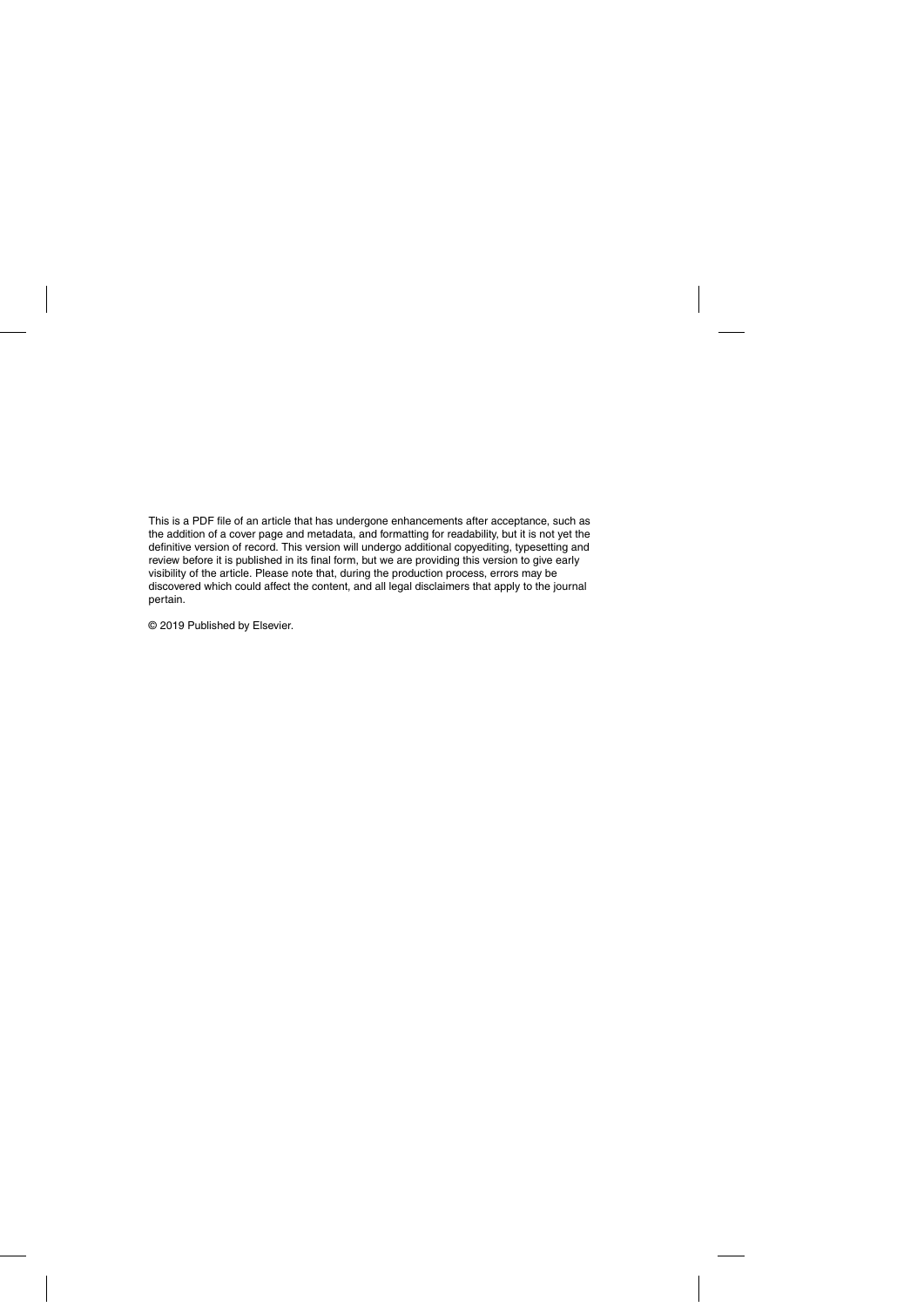This is a PDF file of an article that has undergone enhancements after acceptance, such as the addition of a cover page and metadata, and formatting for readability, but it is not yet the definitive version of record. This version will undergo additional copyediting, typesetting and review before it is published in its final form, but we are providing this version to give early visibility of the article. Please note that, during the production process, errors may be discovered which could affect the content, and all legal disclaimers that apply to the journal pertain.

© 2019 Published by Elsevier.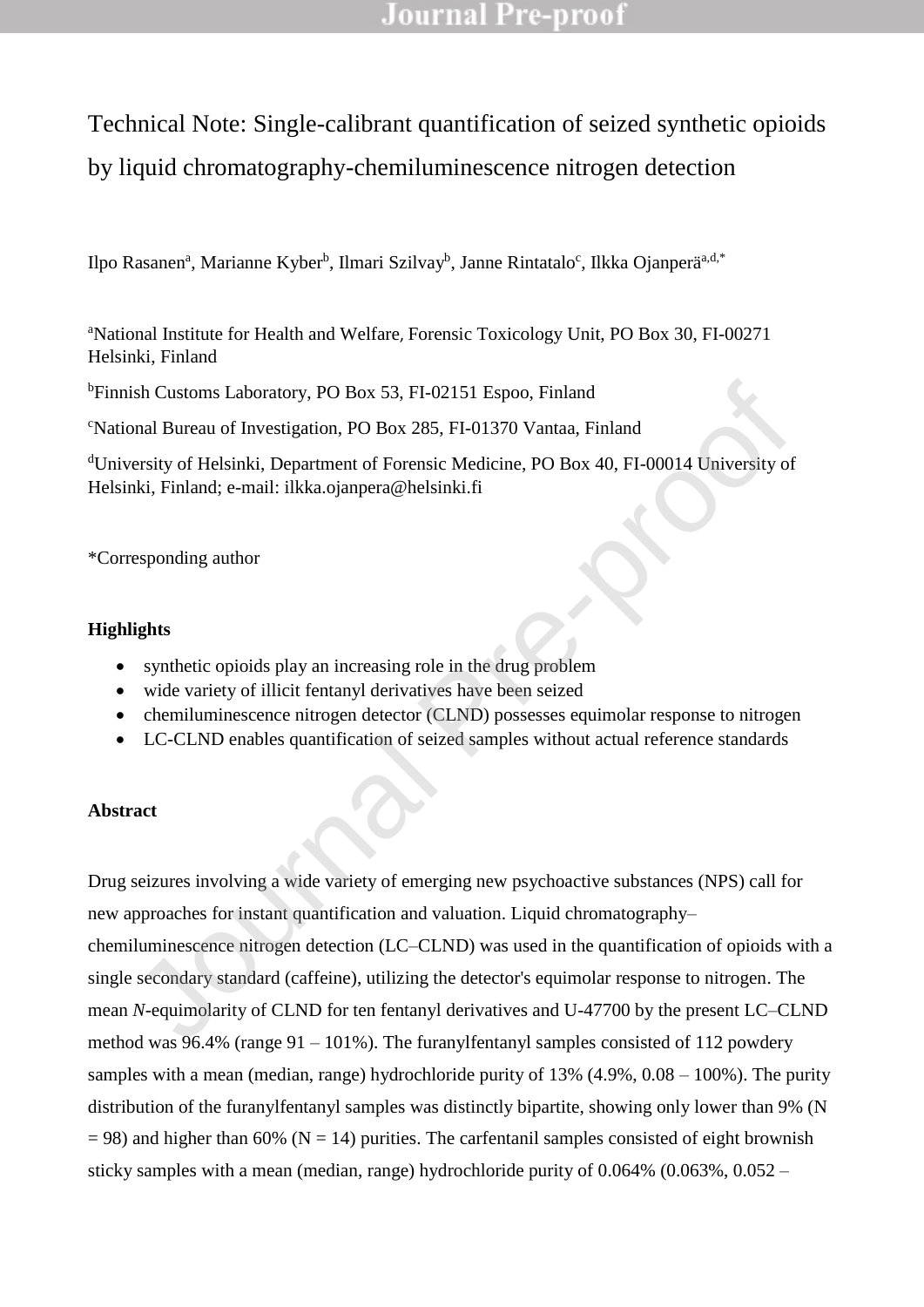# Technical Note: Single-calibrant quantification of seized synthetic opioids by liquid chromatography-chemiluminescence nitrogen detection

Ilpo Rasanen<sup>a</sup>, Marianne Kyber<sup>b</sup>, Ilmari Szilvay<sup>b</sup>, Janne Rintatalo<sup>c</sup>, Ilkka Ojanperä<sup>a,d,\*</sup>

<sup>a</sup>National Institute for Health and Welfare, Forensic Toxicology Unit, PO Box 30, FI-00271 Helsinki, Finland

<sup>b</sup>Finnish Customs Laboratory, PO Box 53, FI-02151 Espoo, Finland

<sup>c</sup>National Bureau of Investigation, PO Box 285, FI-01370 Vantaa, Finland

<sup>d</sup>University of Helsinki, Department of Forensic Medicine, PO Box 40, FI-00014 University of Helsinki, Finland; e-mail: ilkka.ojanpera@helsinki.fi

\*Corresponding author

### **Highlights**

- synthetic opioids play an increasing role in the drug problem
- wide variety of illicit fentanyl derivatives have been seized
- chemiluminescence nitrogen detector (CLND) possesses equimolar response to nitrogen
- LC-CLND enables quantification of seized samples without actual reference standards

### **Abstract**

Drug seizures involving a wide variety of emerging new psychoactive substances (NPS) call for new approaches for instant quantification and valuation. Liquid chromatography– chemiluminescence nitrogen detection (LC–CLND) was used in the quantification of opioids with a single secondary standard (caffeine), utilizing the detector's equimolar response to nitrogen. The mean *N*-equimolarity of CLND for ten fentanyl derivatives and U-47700 by the present LC–CLND method was 96.4% (range 91 – 101%). The furanylfentanyl samples consisted of 112 powdery samples with a mean (median, range) hydrochloride purity of 13% (4.9%, 0.08 – 100%). The purity distribution of the furanylfentanyl samples was distinctly bipartite, showing only lower than 9% (N  $= 98$ ) and higher than 60% (N = 14) purities. The carfentanil samples consisted of eight brownish sticky samples with a mean (median, range) hydrochloride purity of 0.064% (0.063%, 0.052 – ish Customs Laboratory, PO Box 53, FI-02151 Espoo, Finland<br>
anal Bureau of Investigation, PO Box 285, FI-01370 Vantaa, Finland<br>
ersity of Helsinki, Department of Forensic Medicine, PO Box 40, FI-00014 University of<br>
hki,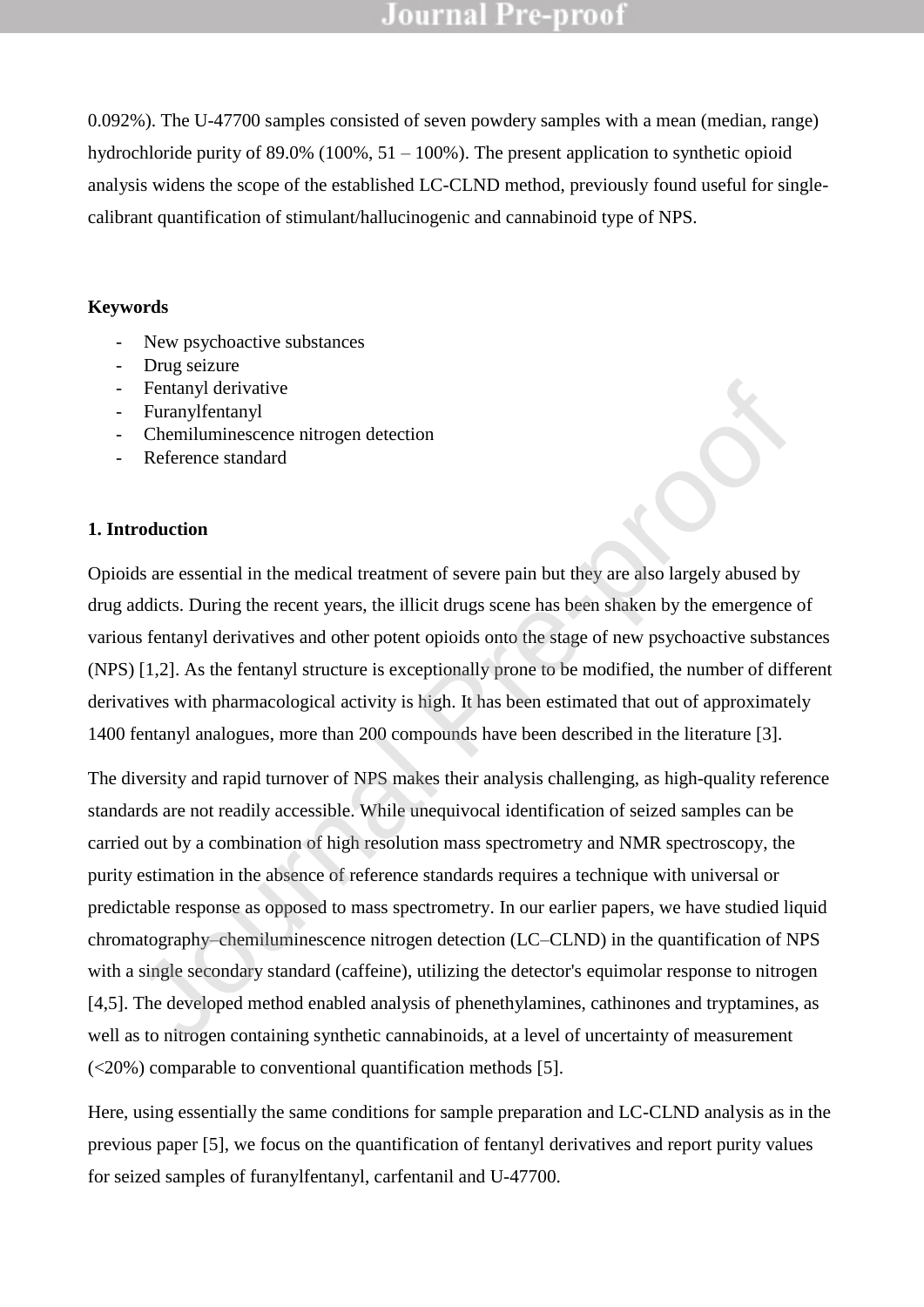0.092%). The U-47700 samples consisted of seven powdery samples with a mean (median, range) hydrochloride purity of  $89.0\%$  (100%,  $51 - 100\%$ ). The present application to synthetic opioid analysis widens the scope of the established LC-CLND method, previously found useful for singlecalibrant quantification of stimulant/hallucinogenic and cannabinoid type of NPS.

#### **Keywords**

- New psychoactive substances
- Drug seizure
- Fentanyl derivative
- Furanylfentanyl
- Chemiluminescence nitrogen detection
- Reference standard

#### **1. Introduction**

Opioids are essential in the medical treatment of severe pain but they are also largely abused by drug addicts. During the recent years, the illicit drugs scene has been shaken by the emergence of various fentanyl derivatives and other potent opioids onto the stage of new psychoactive substances (NPS) [1,2]. As the fentanyl structure is exceptionally prone to be modified, the number of different derivatives with pharmacological activity is high. It has been estimated that out of approximately 1400 fentanyl analogues, more than 200 compounds have been described in the literature [3].

The diversity and rapid turnover of NPS makes their analysis challenging, as high-quality reference standards are not readily accessible. While unequivocal identification of seized samples can be carried out by a combination of high resolution mass spectrometry and NMR spectroscopy, the purity estimation in the absence of reference standards requires a technique with universal or predictable response as opposed to mass spectrometry. In our earlier papers, we have studied liquid chromatography–chemiluminescence nitrogen detection (LC–CLND) in the quantification of NPS with a single secondary standard (caffeine), utilizing the detector's equimolar response to nitrogen [4,5]. The developed method enabled analysis of phenethylamines, cathinones and tryptamines, as well as to nitrogen containing synthetic cannabinoids, at a level of uncertainty of measurement (<20%) comparable to conventional quantification methods [5]. Fentanyl derivative<br>
Chenaluminescence nitrogen detection<br>
Chenaluminescence nitrogen detection<br>
Reference standard<br>
ds are essential in the medical treatment of severe pain but they are also largely abused b<br>
ddicts. Dur

Here, using essentially the same conditions for sample preparation and LC-CLND analysis as in the previous paper [5], we focus on the quantification of fentanyl derivatives and report purity values for seized samples of furanylfentanyl, carfentanil and U-47700.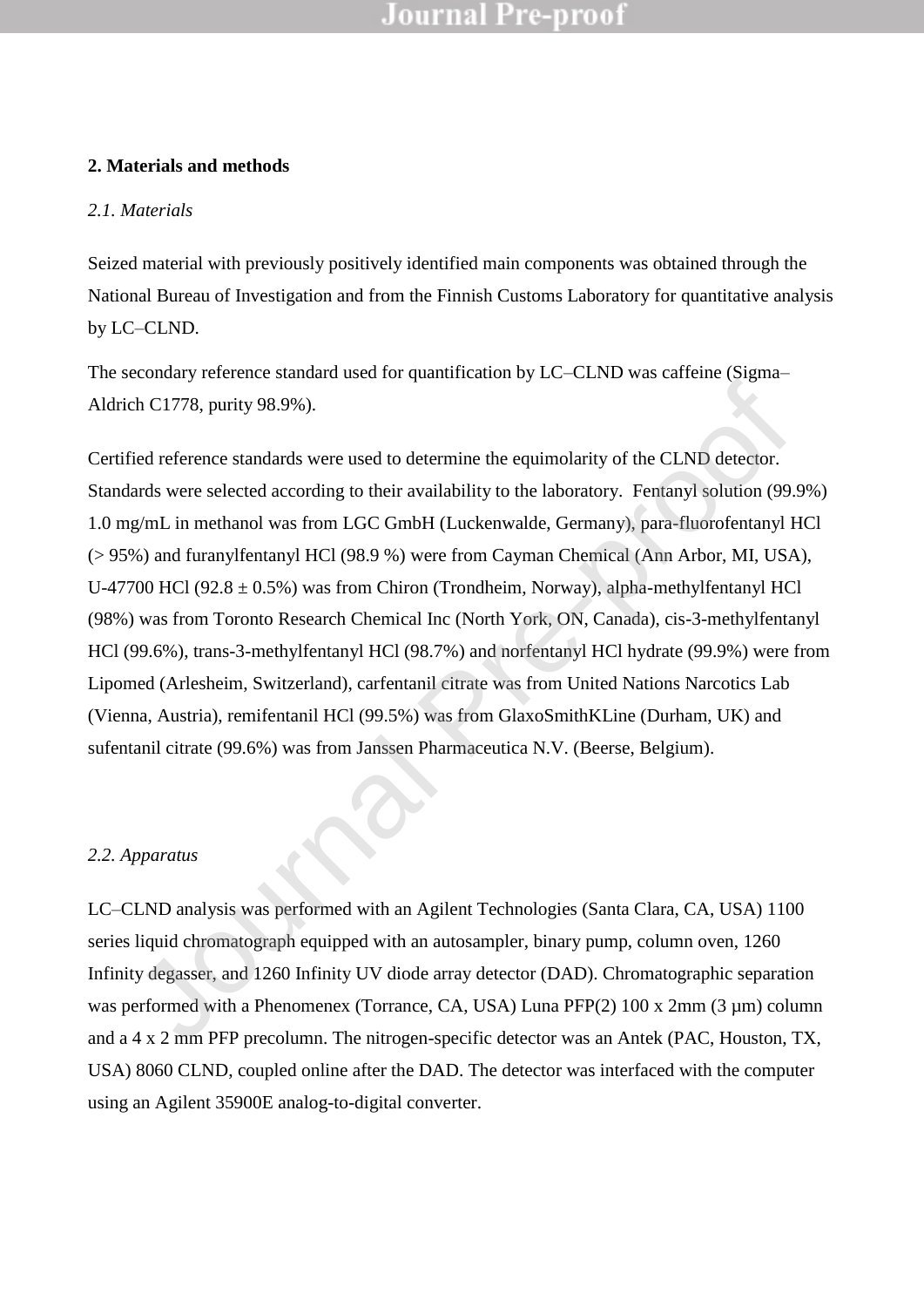#### **2. Materials and methods**

#### *2.1. Materials*

Seized material with previously positively identified main components was obtained through the National Bureau of Investigation and from the Finnish Customs Laboratory for quantitative analysis by LC–CLND.

The secondary reference standard used for quantification by LC–CLND was caffeine (Sigma– Aldrich C1778, purity 98.9%).

Certified reference standards were used to determine the equimolarity of the CLND detector. Standards were selected according to their availability to the laboratory. Fentanyl solution (99.9%) 1.0 mg/mL in methanol was from LGC GmbH (Luckenwalde, Germany), para-fluorofentanyl HCl (> 95%) and furanylfentanyl HCl (98.9 %) were from Cayman Chemical (Ann Arbor, MI, USA), U-47700 HCl (92.8  $\pm$  0.5%) was from Chiron (Trondheim, Norway), alpha-methylfentanyl HCl (98%) was from Toronto Research Chemical Inc (North York, ON, Canada), cis-3-methylfentanyl HCl (99.6%), trans-3-methylfentanyl HCl (98.7%) and norfentanyl HCl hydrate (99.9%) were from Lipomed (Arlesheim, Switzerland), carfentanil citrate was from United Nations Narcotics Lab (Vienna, Austria), remifentanil HCl (99.5%) was from GlaxoSmithKLine (Durham, UK) and sufentanil citrate (99.6%) was from Janssen Pharmaceutica N.V. (Beerse, Belgium). che Clary of Section Contention the equivalently of the CLND detector.<br>
Fied reference standards were used to determine the equimolarity of the CLND detector.<br>
Ards were selected according to their availability to the labo

#### *2.2. Apparatus*

LC–CLND analysis was performed with an Agilent Technologies (Santa Clara, CA, USA) 1100 series liquid chromatograph equipped with an autosampler, binary pump, column oven, 1260 Infinity degasser, and 1260 Infinity UV diode array detector (DAD). Chromatographic separation was performed with a Phenomenex (Torrance, CA, USA) Luna PFP(2) 100 x 2mm (3 µm) column and a 4 x 2 mm PFP precolumn. The nitrogen-specific detector was an Antek (PAC, Houston, TX, USA) 8060 CLND, coupled online after the DAD. The detector was interfaced with the computer using an Agilent 35900E analog-to-digital converter.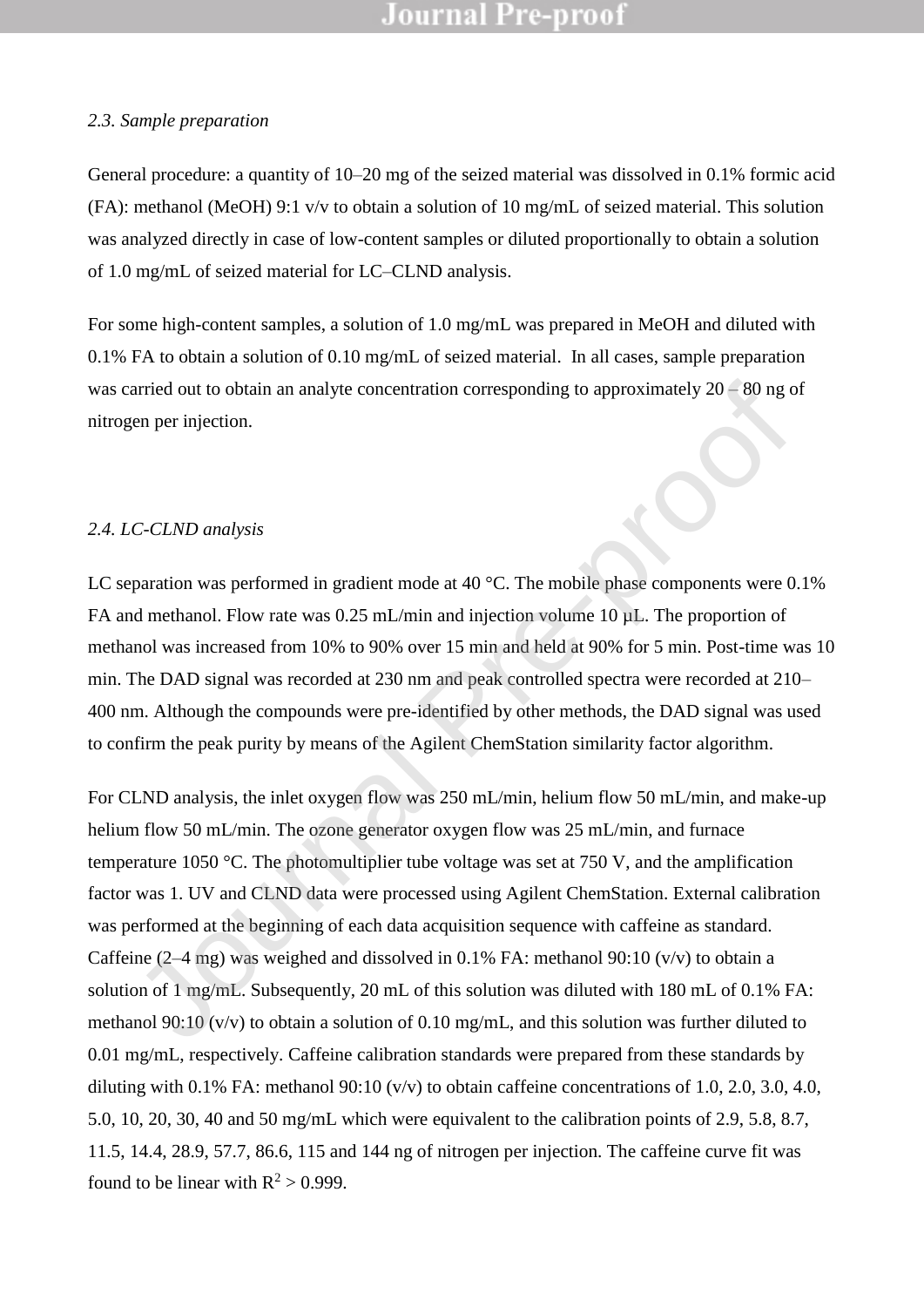#### *2.3. Sample preparation*

General procedure: a quantity of 10–20 mg of the seized material was dissolved in 0.1% formic acid (FA): methanol (MeOH) 9:1 v/v to obtain a solution of 10 mg/mL of seized material. This solution was analyzed directly in case of low-content samples or diluted proportionally to obtain a solution of 1.0 mg/mL of seized material for LC–CLND analysis.

For some high-content samples, a solution of 1.0 mg/mL was prepared in MeOH and diluted with 0.1% FA to obtain a solution of 0.10 mg/mL of seized material. In all cases, sample preparation was carried out to obtain an analyte concentration corresponding to approximately 20 – 80 ng of nitrogen per injection.

#### *2.4. LC-CLND analysis*

LC separation was performed in gradient mode at 40 °C. The mobile phase components were 0.1% FA and methanol. Flow rate was 0.25 mL/min and injection volume 10  $\mu$ L. The proportion of methanol was increased from 10% to 90% over 15 min and held at 90% for 5 min. Post-time was 10 min. The DAD signal was recorded at 230 nm and peak controlled spectra were recorded at 210– 400 nm. Although the compounds were pre-identified by other methods, the DAD signal was used to confirm the peak purity by means of the Agilent ChemStation similarity factor algorithm.

For CLND analysis, the inlet oxygen flow was 250 mL/min, helium flow 50 mL/min, and make-up helium flow 50 mL/min. The ozone generator oxygen flow was 25 mL/min, and furnace temperature 1050 °C. The photomultiplier tube voltage was set at 750 V, and the amplification factor was 1. UV and CLND data were processed using Agilent ChemStation. External calibration was performed at the beginning of each data acquisition sequence with caffeine as standard. Caffeine  $(2-4 \text{ mg})$  was weighed and dissolved in 0.1% FA: methanol 90:10 (v/v) to obtain a solution of 1 mg/mL. Subsequently, 20 mL of this solution was diluted with 180 mL of 0.1% FA: methanol 90:10 (v/v) to obtain a solution of 0.10 mg/mL, and this solution was further diluted to 0.01 mg/mL, respectively. Caffeine calibration standards were prepared from these standards by diluting with 0.1% FA: methanol  $90:10 \frac{v}{v}$  to obtain caffeine concentrations of 1.0, 2.0, 3.0, 4.0, 5.0, 10, 20, 30, 40 and 50 mg/mL which were equivalent to the calibration points of 2.9, 5.8, 8.7, 11.5, 14.4, 28.9, 57.7, 86.6, 115 and 144 ng of nitrogen per injection. The caffeine curve fit was found to be linear with  $R^2 > 0.999$ . arried out to obtain an analyte concentration corresponding to approximately 20 – 80 ng of<br>en per injection.<br>
C-CLND analysis<br>
paration was performed in gradient mode at 40 °C. The mobile phase components were<br>
dd methano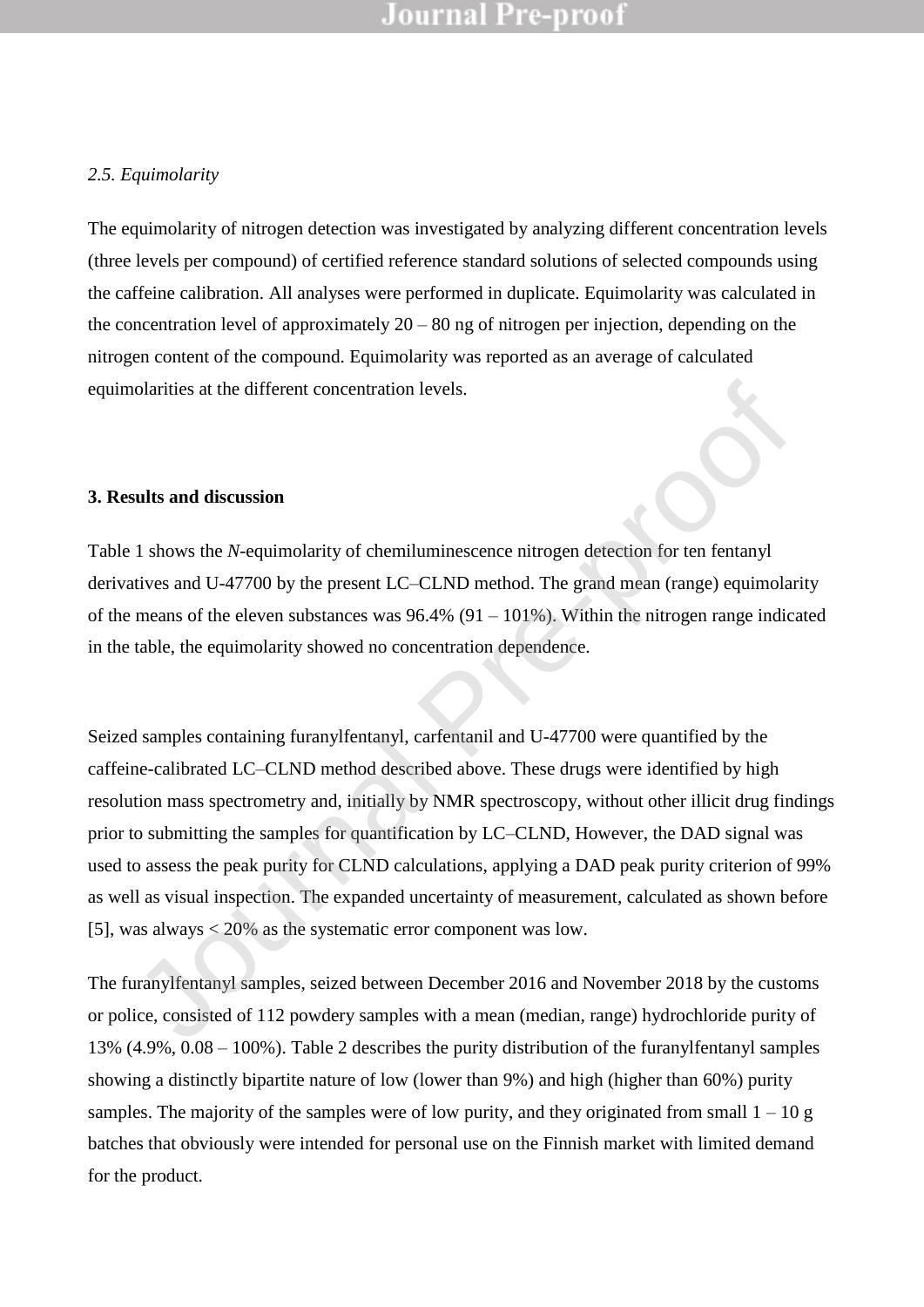#### *2.5. Equimolarity*

The equimolarity of nitrogen detection was investigated by analyzing different concentration levels (three levels per compound) of certified reference standard solutions of selected compounds using the caffeine calibration. All analyses were performed in duplicate. Equimolarity was calculated in the concentration level of approximately  $20 - 80$  ng of nitrogen per injection, depending on the nitrogen content of the compound. Equimolarity was reported as an average of calculated equimolarities at the different concentration levels.

#### **3. Results and discussion**

Table 1 shows the *N*-equimolarity of chemiluminescence nitrogen detection for ten fentanyl derivatives and U-47700 by the present LC–CLND method. The grand mean (range) equimolarity of the means of the eleven substances was  $96.4\%$  (91 – 101%). Within the nitrogen range indicated in the table, the equimolarity showed no concentration dependence.

Seized samples containing furanylfentanyl, carfentanil and U-47700 were quantified by the caffeine-calibrated LC–CLND method described above. These drugs were identified by high resolution mass spectrometry and, initially by NMR spectroscopy, without other illicit drug findings prior to submitting the samples for quantification by LC–CLND, However, the DAD signal was used to assess the peak purity for CLND calculations, applying a DAD peak purity criterion of 99% as well as visual inspection. The expanded uncertainty of measurement, calculated as shown before [5], was always < 20% as the systematic error component was low. ionalities at the different concentration levels.<br> **Sults and discussion**<br>
1 shows the N-equimolarity of chemiluminescence nitrogen detection for ten fentanyl<br>
artists and U-47700 by the present LC-CLND method. The grand

The furanylfentanyl samples, seized between December 2016 and November 2018 by the customs or police, consisted of 112 powdery samples with a mean (median, range) hydrochloride purity of 13% (4.9%, 0.08 – 100%). Table 2 describes the purity distribution of the furanylfentanyl samples showing a distinctly bipartite nature of low (lower than 9%) and high (higher than 60%) purity samples. The majority of the samples were of low purity, and they originated from small  $1 - 10$  g batches that obviously were intended for personal use on the Finnish market with limited demand for the product.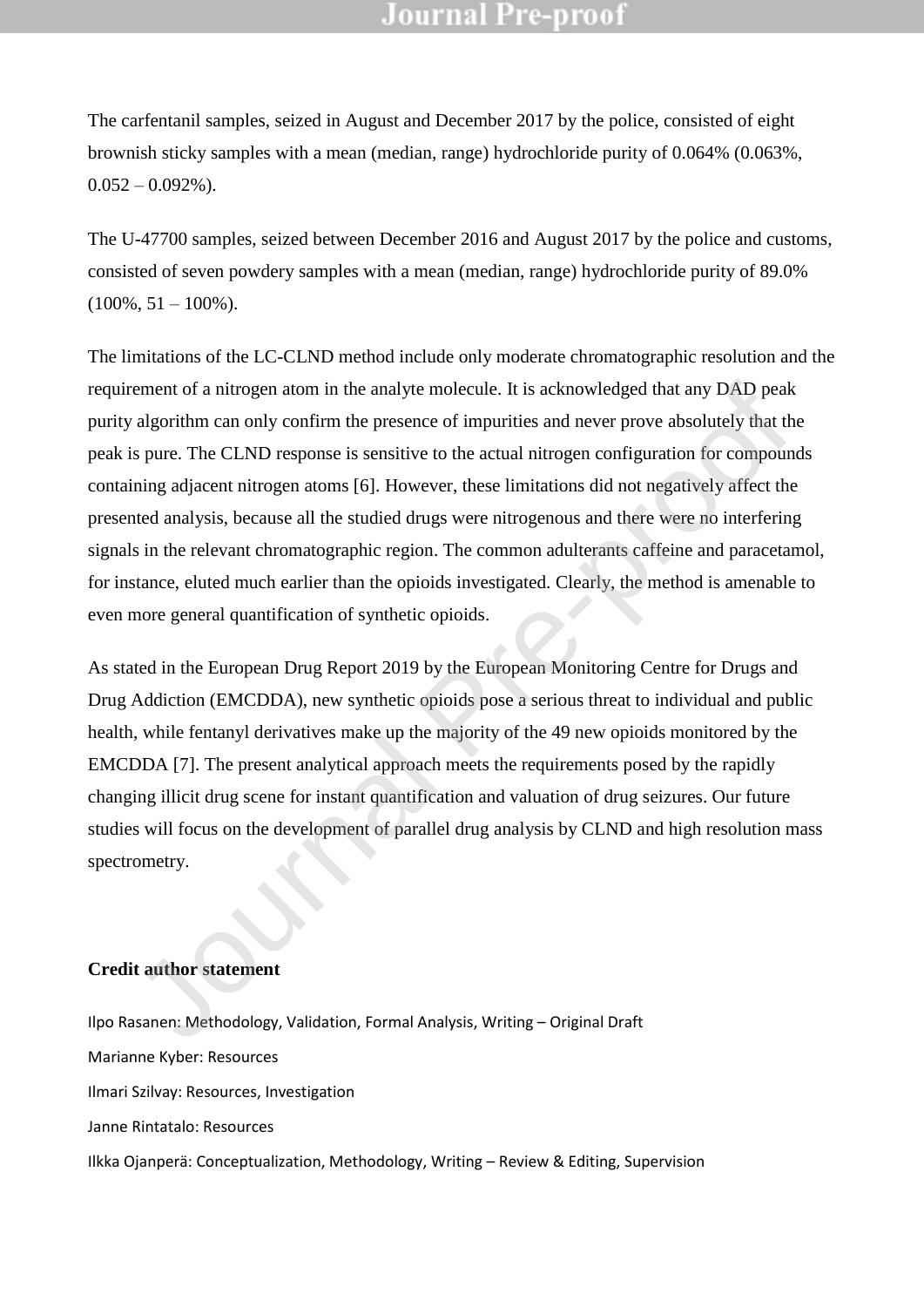The carfentanil samples, seized in August and December 2017 by the police, consisted of eight brownish sticky samples with a mean (median, range) hydrochloride purity of 0.064% (0.063%,  $0.052 - 0.092\%$ ).

The U-47700 samples, seized between December 2016 and August 2017 by the police and customs, consisted of seven powdery samples with a mean (median, range) hydrochloride purity of 89.0%  $(100\%, 51 - 100\%).$ 

The limitations of the LC-CLND method include only moderate chromatographic resolution and the requirement of a nitrogen atom in the analyte molecule. It is acknowledged that any DAD peak purity algorithm can only confirm the presence of impurities and never prove absolutely that the peak is pure. The CLND response is sensitive to the actual nitrogen configuration for compounds containing adjacent nitrogen atoms [6]. However, these limitations did not negatively affect the presented analysis, because all the studied drugs were nitrogenous and there were no interfering signals in the relevant chromatographic region. The common adulterants caffeine and paracetamol, for instance, eluted much earlier than the opioids investigated. Clearly, the method is amenable to even more general quantification of synthetic opioids. rement of a nitrogen atom in the analyte molecule. It is acknowledged that any DAD peak algorithm can only confirm the presence of impurities and never prove absolutely that the pure. The CLND response is sensitive to the

As stated in the European Drug Report 2019 by the European Monitoring Centre for Drugs and Drug Addiction (EMCDDA), new synthetic opioids pose a serious threat to individual and public health, while fentanyl derivatives make up the majority of the 49 new opioids monitored by the EMCDDA [7]. The present analytical approach meets the requirements posed by the rapidly changing illicit drug scene for instant quantification and valuation of drug seizures. Our future studies will focus on the development of parallel drug analysis by CLND and high resolution mass spectrometry.

#### **Credit author statement**

Ilpo Rasanen: Methodology, Validation, Formal Analysis, Writing – Original Draft Marianne Kyber: Resources Ilmari Szilvay: Resources, Investigation Janne Rintatalo: Resources Ilkka Ojanperä: Conceptualization, Methodology, Writing – Review & Editing, Supervision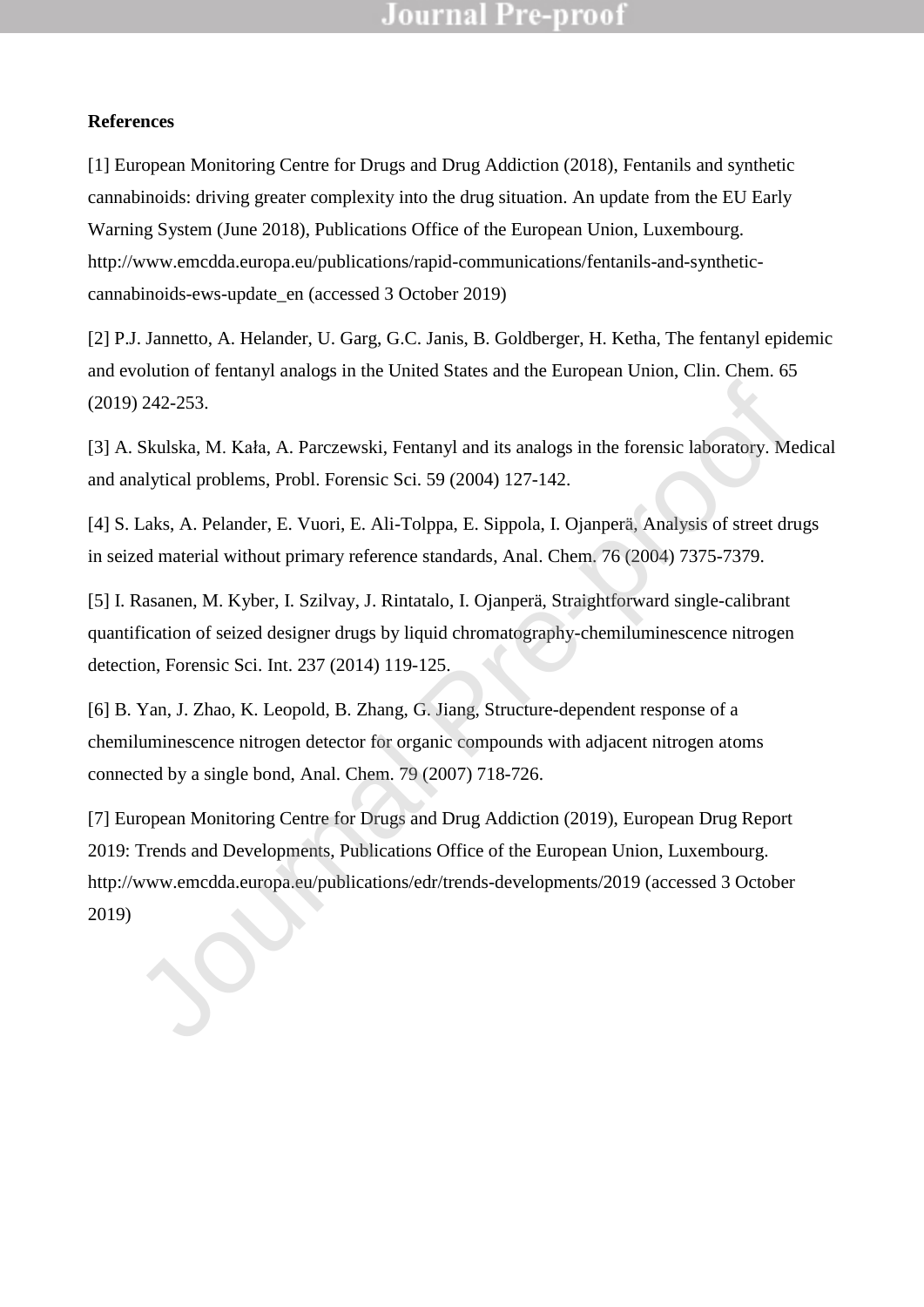#### **References**

[1] European Monitoring Centre for Drugs and Drug Addiction (2018), Fentanils and synthetic cannabinoids: driving greater complexity into the drug situation. An update from the EU Early Warning System (June 2018), Publications Office of the European Union, Luxembourg. [http://www.emcdda.europa.eu/publications/rapid-communications/fentanils-and-synthetic](http://www.emcdda.europa.eu/publications/rapid-communications/fentanils-and-synthetic-cannabinoids-ews-update_en)[cannabinoids-ews-update\\_en](http://www.emcdda.europa.eu/publications/rapid-communications/fentanils-and-synthetic-cannabinoids-ews-update_en) (accessed 3 October 2019)

[2] P.J. Jannetto, A. Helander, U. Garg, G.C. Janis, B. Goldberger, H. Ketha, The fentanyl epidemic and evolution of fentanyl analogs in the United States and the European Union, Clin. Chem. 65 (2019) 242-253.

[3] A. Skulska, M. Kała, A. Parczewski, Fentanyl and its analogs in the forensic laboratory. Medical and analytical problems, Probl. Forensic Sci. 59 (2004) 127-142.

[4] S. Laks, A. Pelander, E. Vuori, E. Ali-Tolppa, E. Sippola, I. Ojanperä, Analysis of street drugs in seized material without primary reference standards, Anal. Chem. 76 (2004) 7375-7379.

[5] I. Rasanen, M. Kyber, I. Szilvay, J. Rintatalo, I. Ojanperä, Straightforward single-calibrant quantification of seized designer drugs by liquid chromatography-chemiluminescence nitrogen detection, Forensic Sci. Int. 237 (2014) 119-125.

[6] B. Yan, J. Zhao, K. Leopold, B. Zhang, G. Jiang, Structure-dependent response of a chemiluminescence nitrogen detector for organic compounds with adjacent nitrogen atoms connected by a single bond, Anal. Chem. 79 (2007) 718-726.

[7] European Monitoring Centre for Drugs and Drug Addiction (2019), European Drug Report 2019: Trends and Developments, Publications Office of the European Union, Luxembourg. http://www.emcdda.europa.eu/publications/edr/trends-developments/2019 (accessed 3 October (2019) 242-253.<br>
(3) A. Skulska, M. Kala, A. Parczewski, Fentanyl and its analogs in the forensic laboratory. M<br>
and analytical problems. Probl. Forensic Sci. 59 (2004) 127-142.<br>
(4) S. Laks, A. Pelander, E. Vuori, E. Ali-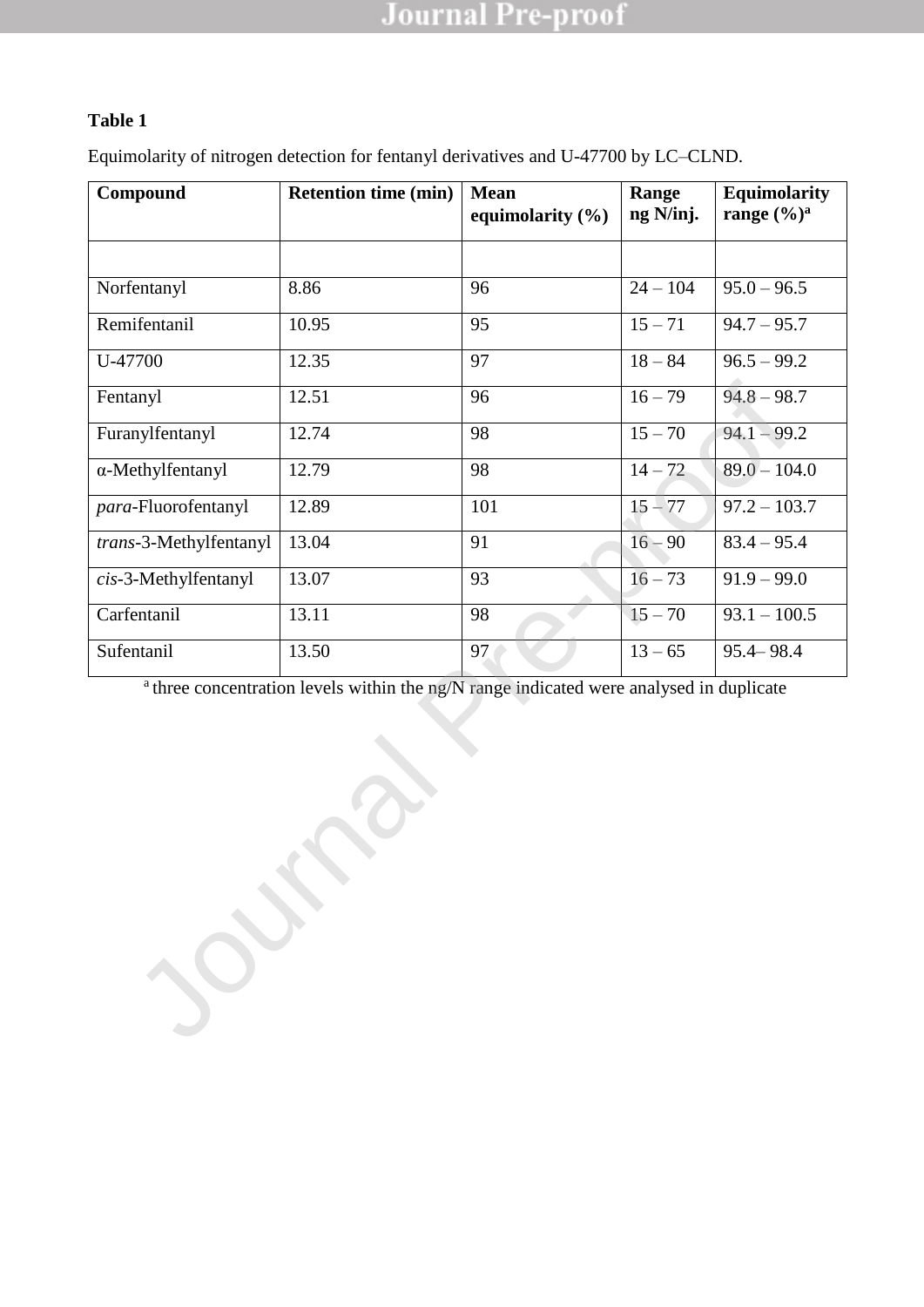### **Table 1**

Equimolarity of nitrogen detection for fentanyl derivatives and U-47700 by LC–CLND.

| Compound                                                                                           | <b>Retention time (min)</b> | <b>Mean</b><br>equimolarity (%) | Range<br>ng N/inj.   | <b>Equimolarity</b><br>range $(\frac{6}{9})^a$ |  |  |
|----------------------------------------------------------------------------------------------------|-----------------------------|---------------------------------|----------------------|------------------------------------------------|--|--|
|                                                                                                    |                             |                                 |                      |                                                |  |  |
| Norfentanyl                                                                                        | 8.86                        | 96                              | $24 - 104$           | $95.0 - 96.5$                                  |  |  |
| Remifentanil                                                                                       | 10.95                       | 95                              | $15 - 71$            | $94.7 - 95.7$                                  |  |  |
| U-47700                                                                                            | 12.35                       | 97                              | $18 - 84$            | $96.5 - 99.2$                                  |  |  |
| Fentanyl                                                                                           | 12.51                       | 96                              | $16 - 79$            | $94.8 - 98.7$                                  |  |  |
| Furanylfentanyl                                                                                    | 12.74                       | 98                              | $\overline{15} - 70$ | $94.1 - 99.2$                                  |  |  |
| α-Methylfentanyl                                                                                   | 12.79                       | 98                              | $14 - 72$            | $89.0 - 104.0$                                 |  |  |
| para-Fluorofentanyl                                                                                | 12.89                       | 101                             | $15 - 77$            | $97.2 - 103.7$                                 |  |  |
| trans-3-Methylfentanyl                                                                             | 13.04                       | 91                              | $16 - 90$            | $83.4 - 95.4$                                  |  |  |
| cis-3-Methylfentanyl                                                                               | 13.07                       | 93                              | $16 - 73$            | $91.9 - 99.0$                                  |  |  |
| Carfentanil                                                                                        | 13.11                       | 98                              | $15 - 70$            | $93.1 - 100.5$                                 |  |  |
| Sufentanil                                                                                         | 13.50                       | 97                              | $13 - 65$            | $95.4 - 98.4$                                  |  |  |
| <sup>a</sup> three concentration levels within the ng/N range indicated were analysed in duplicate |                             |                                 |                      |                                                |  |  |